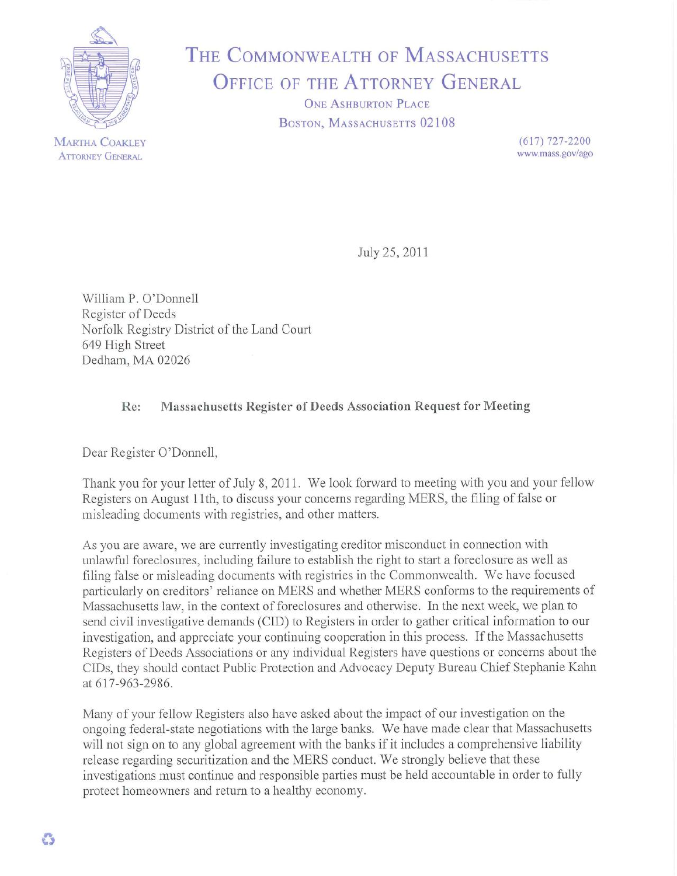

## THE COMMONWEALTH OF MASSACHUSETTS

OFFICE OF THE ATTORNEY GENERAL

ONE ASHBURTON PLACE BOSTON, MASSACHUSETTS 02108

> (617) 727-2200 www.mass.gov/ago

July 25, 2011

William P. O'Donnell Register of Deeds Norfolk Registry District of the Land Court 649 High Street Dedham, MA 02026

Re: Massachusetts Register of Deeds Association Request for Meeting

Dear Register O'Donnell,

Thank you for your letter of July 8, 2011. We look forward to meeting with you and your fellow Registers on August 1 lth, to discuss your concerns regarding MERS, the filing of false or misleading documents with registries, and other matters.

As you are aware, we are currently investigating creditor misconduct in connection with unlawful foreclosures, including failure to establish the right to start a foreclosure as well as filing false or misleading documents with registries in the Commonwealth. We have focused particularly on creditors' reliance on MERS and whether MERS conforms to the requirements of Massachusetts law, in the context of foreclosures and otherwise. In the next week, we plan to send civil investigative demands (CID) to Registers in order to gather critical information to our investigation, and appreciate your continuing cooperation in this process. If the Massachusetts Registers of Deeds Associations or any individual Registers have questions or concerns about the CIDs, they should contact Public Protection and Advocacy Deputy Bureau Chief Stephanie Kahn at 617-963-2986.

Many of your fellow Registers also have asked about the impact of our investigation on the ongoing federal-state negotiations with the large banks. We have made clear that Massachusetts will not sign on to any global agreement with the banks if it includes a comprehensive liability release regarding securitization and the MERS conduct. We strongly believe that these investigations must continue and responsible parties must be held accountable in order to fully protect homeowners and return to a healthy economy.